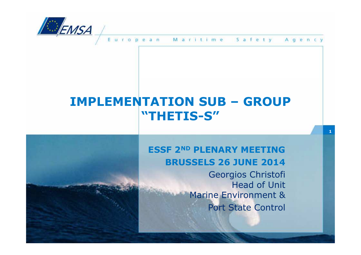

uropean Maritime Safety Agency

## **IMPLEMENTATION SUB – GROUP "THETIS-S"**

#### **ESSF 2ND PLENARY MEETINGBRUSSELS 26 JUNE 2014**

 Georgios Christofi Head of Unit Marine Environment & Port State Control

**1**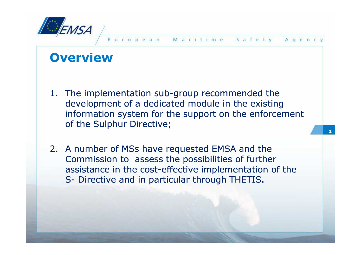

## **Overview**

- 1. The implementation sub-group recommended the development of a dedicated module in the existing information system for the support on the enforcement of the Sulphur Directive;
- 2. A number of MSs have requested EMSA and the Commission to assess the possibilities of further assistance in the cost-effective implementation of the S- Directive and in particular through THETIS.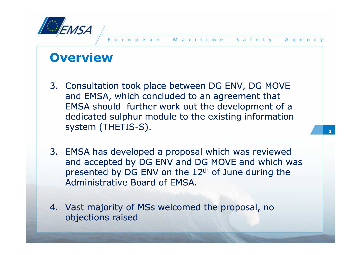

## **Overview**

- 3. Consultation took place between DG ENV, DG MOVE and EMSA, which concluded to an agreement that  $\overline{\phantom{a}}$ EMSA should further work out the development of a dedicated sulphur module to the existing information system (THETIS-S).
- 3. EMSA has developed a proposal which was reviewed and accepted by DG ENV and DG MOVE and which was presented by DG ENV on the 12<sup>th</sup> of June during the Administrative Board of EMSA.
- 4. Vast majority of MSs welcomed the proposal, no objections raised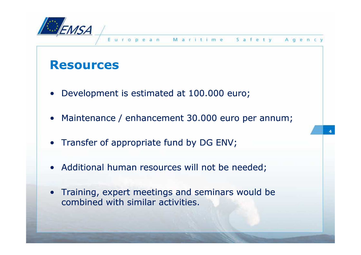

#### **Resources**

- •Development is estimated at 100.000 euro;
- •Maintenance / enhancement 30.000 euro per annum;
- Transfer of appropriate fund by DG ENV;
- Additional human resources will not be needed;
- Training, expert meetings and seminars would be combined with similar activities combined with similar activities.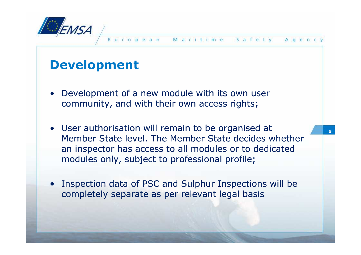

- • Development of a new module with its own user community, and with their own access rights;
- User authorisation will remain to be organised at Member State level. The Member State decides whether an inspector has access to all modules or to dedicated modules only, subject to professional profile;
- •Inspection data of PSC and Sulphur Inspections will be completely separate as per relevant legal basis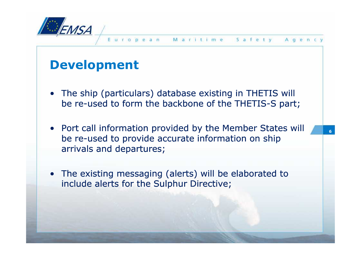

- The ship (particulars) database existing in THETIS will<br>he re-used to form the backbone of the THETIS-S part be re-used to form the backbone of the THETIS-S part;
- Port call information provided by the Member States will be re-used to provide accurate information on ship arrivals and departures;
- The existing messaging (alerts) will be elaborated to include alerts for the Sulphur Directive include alerts for the Sulphur Directive;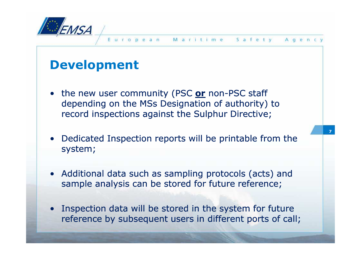

- •the new user community (PSC or non-PSC staff depending on the MSs Designation of authority) to record inspections against the Sulphur Directive;
- •Dedicated Inspection reports will be printable from the system;
- Additional data such as sampling protocols (acts) and<br>sample analysis can be stored for future reference: sample analysis can be stored for future reference;
- $\bullet$ Inspection data will be stored in the system for future reference by subsequent users in different ports of call;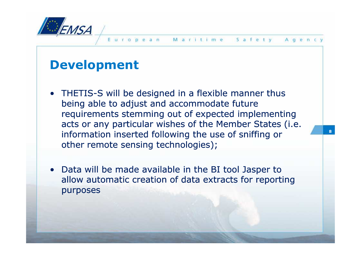

- THETIS-S will be designed in a flexible manner thus heing able to adjust and accommodate future being able to adjust and accommodate future requirements stemming out of expected implementing acts or any particular wishes of the Member States (i.e. information inserted following the use of sniffing or other remote sensing technologies);
- •Data will be made available in the BI tool Jasper to allow automatic creation of data extracts for reporting purposes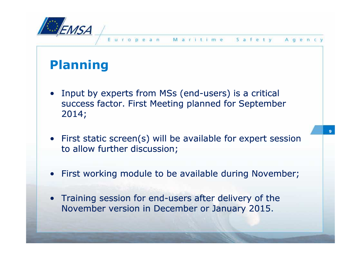

# **Planning**

- •Input by experts from MSs (end-users) is a critical success factor. First Meeting planned for September 2014;
- • First static screen(s) will be available for expert session to allow further discussion;
- •First working module to be available during November;
- $\bullet$ Training session for end-users after delivery of the November version in December or January 2015.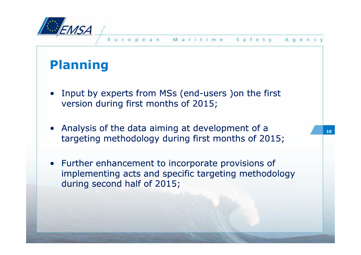

# **Planning**

- •Input by experts from MSs (end-users )on the first version during first months of 2015;
- Analysis of the data aiming at development of a targeting methodology during first months of 2015;
- Further enhancement to incorporate provisions of implementing acts and specific targeting methodology during second half of 2015;